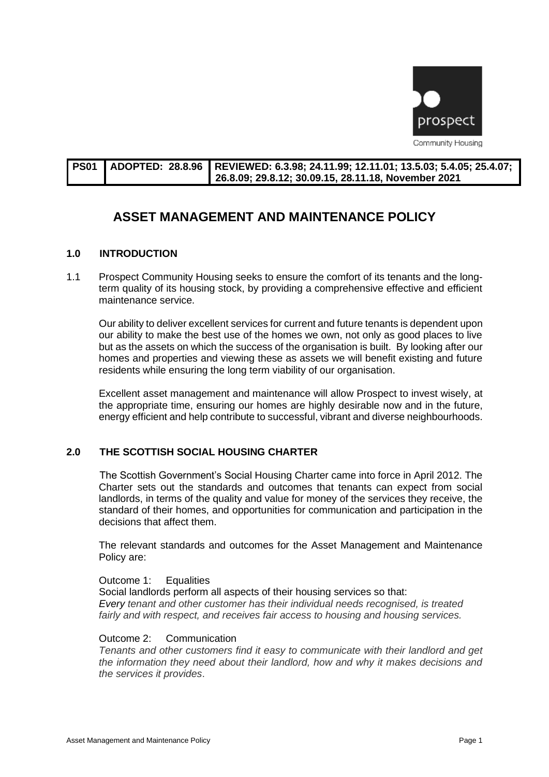

| l PS01 | / LADOPTED: 28.8.96 LREVIEWED: 6.3.98; 24.11.99; 12.11.01; 13.5.03; 5.4.05; 25.4.07; |
|--------|--------------------------------------------------------------------------------------|
|        | 26.8.09; 29.8.12; 30.09.15, 28.11.18, November 2021                                  |

# **ASSET MANAGEMENT AND MAINTENANCE POLICY**

## **1.0 INTRODUCTION**

1.1 Prospect Community Housing seeks to ensure the comfort of its tenants and the longterm quality of its housing stock, by providing a comprehensive effective and efficient maintenance service.

Our ability to deliver excellent services for current and future tenants is dependent upon our ability to make the best use of the homes we own, not only as good places to live but as the assets on which the success of the organisation is built. By looking after our homes and properties and viewing these as assets we will benefit existing and future residents while ensuring the long term viability of our organisation.

Excellent asset management and maintenance will allow Prospect to invest wisely, at the appropriate time, ensuring our homes are highly desirable now and in the future, energy efficient and help contribute to successful, vibrant and diverse neighbourhoods.

## **2.0 THE SCOTTISH SOCIAL HOUSING CHARTER**

The Scottish Government's Social Housing Charter came into force in April 2012. The Charter sets out the standards and outcomes that tenants can expect from social landlords, in terms of the quality and value for money of the services they receive, the standard of their homes, and opportunities for communication and participation in the decisions that affect them.

The relevant standards and outcomes for the Asset Management and Maintenance Policy are:

## Outcome 1: Equalities

Social landlords perform all aspects of their housing services so that: *Every tenant and other customer has their individual needs recognised, is treated fairly and with respect, and receives fair access to housing and housing services.*

## Outcome 2: Communication

*Tenants and other customers find it easy to communicate with their landlord and get the information they need about their landlord, how and why it makes decisions and the services it provides*.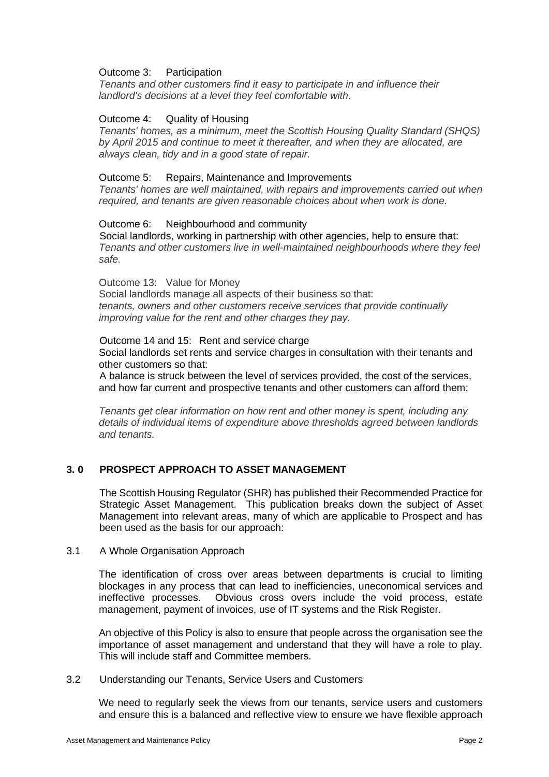## Outcome 3: Participation

*Tenants and other customers find it easy to participate in and influence their landlord's decisions at a level they feel comfortable with.*

## Outcome 4: Quality of Housing

*Tenants' homes, as a minimum, meet the Scottish Housing Quality Standard (SHQS) by April 2015 and continue to meet it thereafter, and when they are allocated, are always clean, tidy and in a good state of repair.*

## Outcome 5: Repairs, Maintenance and Improvements

*Tenants' homes are well maintained, with repairs and improvements carried out when required, and tenants are given reasonable choices about when work is done.*

## Outcome 6: Neighbourhood and community

Social landlords, working in partnership with other agencies, help to ensure that: *Tenants and other customers live in well-maintained neighbourhoods where they feel safe.*

Outcome 13: Value for Money Social landlords manage all aspects of their business so that: *tenants, owners and other customers receive services that provide continually improving value for the rent and other charges they pay.*

#### Outcome 14 and 15: Rent and service charge Social landlords set rents and service charges in consultation with their tenants and other customers so that:

A balance is struck between the level of services provided, the cost of the services, and how far current and prospective tenants and other customers can afford them;

*Tenants get clear information on how rent and other money is spent, including any details of individual items of expenditure above thresholds agreed between landlords and tenants.*

## **3. 0 PROSPECT APPROACH TO ASSET MANAGEMENT**

The Scottish Housing Regulator (SHR) has published their Recommended Practice for Strategic Asset Management. This publication breaks down the subject of Asset Management into relevant areas, many of which are applicable to Prospect and has been used as the basis for our approach:

## 3.1 A Whole Organisation Approach

The identification of cross over areas between departments is crucial to limiting blockages in any process that can lead to inefficiencies, uneconomical services and ineffective processes. Obvious cross overs include the void process, estate management, payment of invoices, use of IT systems and the Risk Register.

An objective of this Policy is also to ensure that people across the organisation see the importance of asset management and understand that they will have a role to play. This will include staff and Committee members.

## 3.2 Understanding our Tenants, Service Users and Customers

We need to regularly seek the views from our tenants, service users and customers and ensure this is a balanced and reflective view to ensure we have flexible approach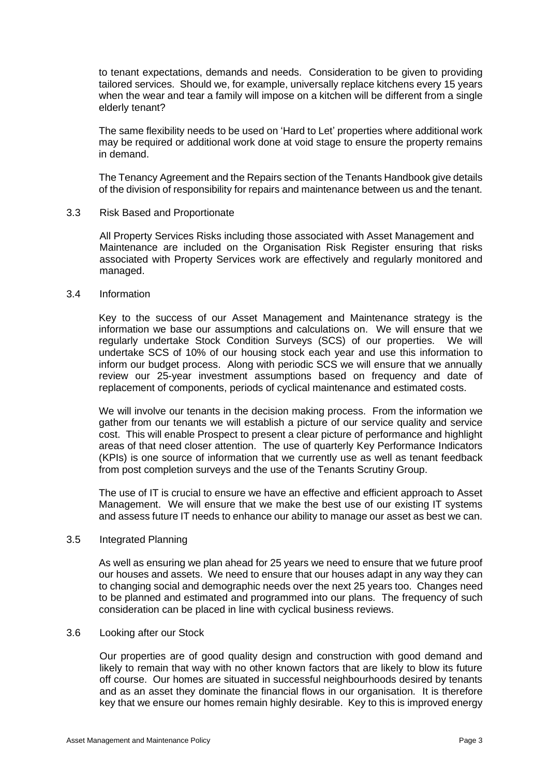to tenant expectations, demands and needs. Consideration to be given to providing tailored services. Should we, for example, universally replace kitchens every 15 years when the wear and tear a family will impose on a kitchen will be different from a single elderly tenant?

The same flexibility needs to be used on 'Hard to Let' properties where additional work may be required or additional work done at void stage to ensure the property remains in demand.

The Tenancy Agreement and the Repairs section of the Tenants Handbook give details of the division of responsibility for repairs and maintenance between us and the tenant.

## 3.3 Risk Based and Proportionate

All Property Services Risks including those associated with Asset Management and Maintenance are included on the Organisation Risk Register ensuring that risks associated with Property Services work are effectively and regularly monitored and managed.

#### 3.4 Information

Key to the success of our Asset Management and Maintenance strategy is the information we base our assumptions and calculations on. We will ensure that we regularly undertake Stock Condition Surveys (SCS) of our properties. We will undertake SCS of 10% of our housing stock each year and use this information to inform our budget process. Along with periodic SCS we will ensure that we annually review our 25-year investment assumptions based on frequency and date of replacement of components, periods of cyclical maintenance and estimated costs.

We will involve our tenants in the decision making process. From the information we gather from our tenants we will establish a picture of our service quality and service cost. This will enable Prospect to present a clear picture of performance and highlight areas of that need closer attention. The use of quarterly Key Performance Indicators (KPIs) is one source of information that we currently use as well as tenant feedback from post completion surveys and the use of the Tenants Scrutiny Group.

The use of IT is crucial to ensure we have an effective and efficient approach to Asset Management. We will ensure that we make the best use of our existing IT systems and assess future IT needs to enhance our ability to manage our asset as best we can.

## 3.5 Integrated Planning

As well as ensuring we plan ahead for 25 years we need to ensure that we future proof our houses and assets. We need to ensure that our houses adapt in any way they can to changing social and demographic needs over the next 25 years too. Changes need to be planned and estimated and programmed into our plans. The frequency of such consideration can be placed in line with cyclical business reviews.

## 3.6 Looking after our Stock

Our properties are of good quality design and construction with good demand and likely to remain that way with no other known factors that are likely to blow its future off course. Our homes are situated in successful neighbourhoods desired by tenants and as an asset they dominate the financial flows in our organisation. It is therefore key that we ensure our homes remain highly desirable. Key to this is improved energy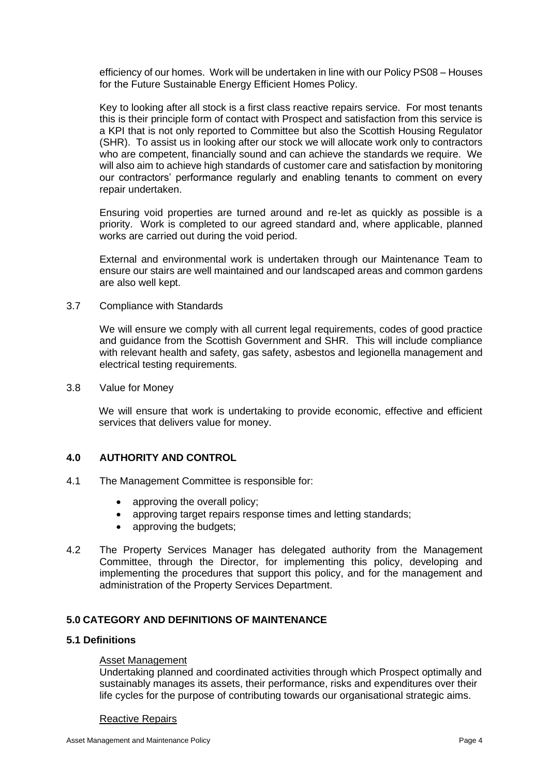efficiency of our homes. Work will be undertaken in line with our Policy PS08 – Houses for the Future Sustainable Energy Efficient Homes Policy.

Key to looking after all stock is a first class reactive repairs service. For most tenants this is their principle form of contact with Prospect and satisfaction from this service is a KPI that is not only reported to Committee but also the Scottish Housing Regulator (SHR). To assist us in looking after our stock we will allocate work only to contractors who are competent, financially sound and can achieve the standards we require. We will also aim to achieve high standards of customer care and satisfaction by monitoring our contractors' performance regularly and enabling tenants to comment on every repair undertaken.

Ensuring void properties are turned around and re-let as quickly as possible is a priority. Work is completed to our agreed standard and, where applicable, planned works are carried out during the void period.

External and environmental work is undertaken through our Maintenance Team to ensure our stairs are well maintained and our landscaped areas and common gardens are also well kept.

3.7 Compliance with Standards

We will ensure we comply with all current legal requirements, codes of good practice and guidance from the Scottish Government and SHR. This will include compliance with relevant health and safety, gas safety, asbestos and legionella management and electrical testing requirements.

3.8 Value for Money

We will ensure that work is undertaking to provide economic, effective and efficient services that delivers value for money.

## **4.0 AUTHORITY AND CONTROL**

- 4.1 The Management Committee is responsible for:
	- approving the overall policy;
	- approving target repairs response times and letting standards;
	- approving the budgets;
- 4.2 The Property Services Manager has delegated authority from the Management Committee, through the Director, for implementing this policy, developing and implementing the procedures that support this policy, and for the management and administration of the Property Services Department.

## **5.0 CATEGORY AND DEFINITIONS OF MAINTENANCE**

#### **5.1 Definitions**

#### Asset Management

Undertaking planned and coordinated activities through which Prospect optimally and sustainably manages its assets, their performance, risks and expenditures over their life cycles for the purpose of contributing towards our organisational strategic aims.

#### Reactive Repairs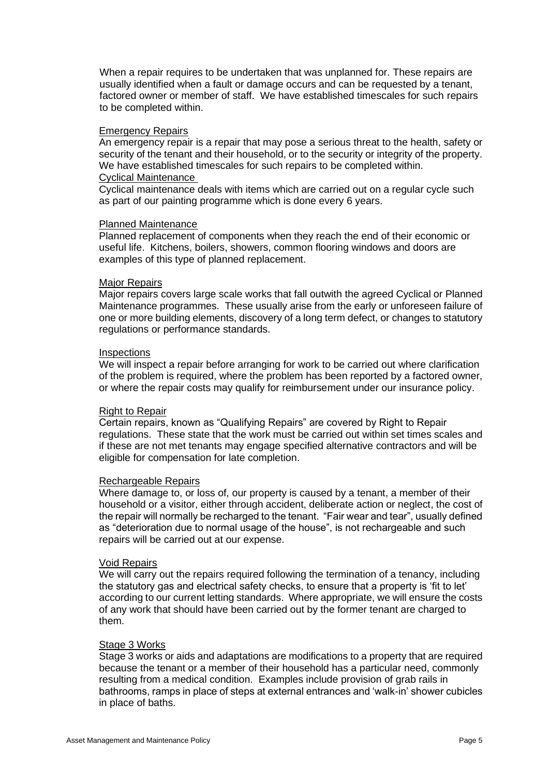When a repair requires to be undertaken that was unplanned for. These repairs are usually identified when a fault or damage occurs and can be requested by a tenant, factored owner or member of staff. We have established timescales for such repairs to be completed within.

#### Emergency Repairs

An emergency repair is a repair that may pose a serious threat to the health, safety or security of the tenant and their household, or to the security or integrity of the property. We have established timescales for such repairs to be completed within. Cyclical Maintenance

Cyclical maintenance deals with items which are carried out on a regular cycle such as part of our painting programme which is done every 6 years.

#### Planned Maintenance

Planned replacement of components when they reach the end of their economic or useful life. Kitchens, boilers, showers, common flooring windows and doors are examples of this type of planned replacement.

#### Major Repairs

Major repairs covers large scale works that fall outwith the agreed Cyclical or Planned Maintenance programmes. These usually arise from the early or unforeseen failure of one or more building elements, discovery of a long term defect, or changes to statutory regulations or performance standards.

#### **Inspections**

We will inspect a repair before arranging for work to be carried out where clarification of the problem is required, where the problem has been reported by a factored owner, or where the repair costs may qualify for reimbursement under our insurance policy.

## Right to Repair

Certain repairs, known as "Qualifying Repairs" are covered by Right to Repair regulations. These state that the work must be carried out within set times scales and if these are not met tenants may engage specified alternative contractors and will be eligible for compensation for late completion.

## Rechargeable Repairs

Where damage to, or loss of, our property is caused by a tenant, a member of their household or a visitor, either through accident, deliberate action or neglect, the cost of the repair will normally be recharged to the tenant. "Fair wear and tear", usually defined as "deterioration due to normal usage of the house", is not rechargeable and such repairs will be carried out at our expense.

#### Void Repairs

We will carry out the repairs required following the termination of a tenancy, including the statutory gas and electrical safety checks, to ensure that a property is 'fit to let' according to our current letting standards. Where appropriate, we will ensure the costs of any work that should have been carried out by the former tenant are charged to them.

#### Stage 3 Works

Stage 3 works or aids and adaptations are modifications to a property that are required because the tenant or a member of their household has a particular need, commonly resulting from a medical condition. Examples include provision of grab rails in bathrooms, ramps in place of steps at external entrances and 'walk-in' shower cubicles in place of baths.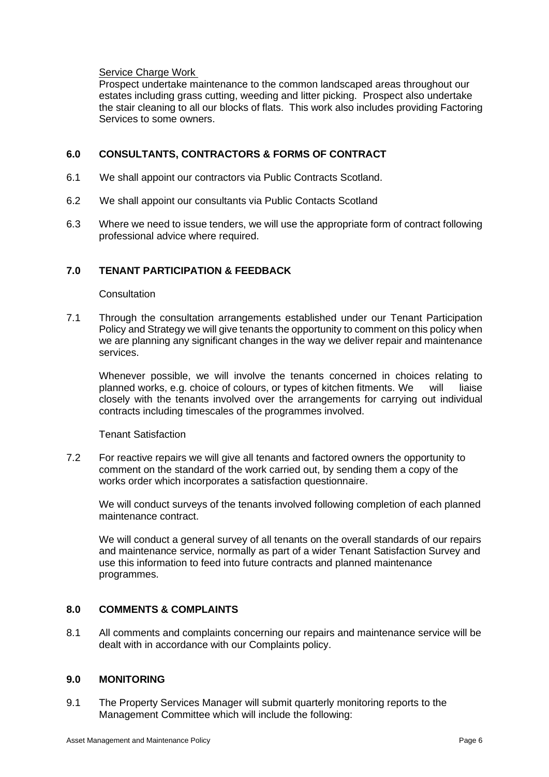## Service Charge Work

Prospect undertake maintenance to the common landscaped areas throughout our estates including grass cutting, weeding and litter picking. Prospect also undertake the stair cleaning to all our blocks of flats. This work also includes providing Factoring Services to some owners.

## **6.0 CONSULTANTS, CONTRACTORS & FORMS OF CONTRACT**

- 6.1 We shall appoint our contractors via Public Contracts Scotland.
- 6.2 We shall appoint our consultants via Public Contacts Scotland
- 6.3 Where we need to issue tenders, we will use the appropriate form of contract following professional advice where required.

## **7.0 TENANT PARTICIPATION & FEEDBACK**

## **Consultation**

7.1 Through the consultation arrangements established under our Tenant Participation Policy and Strategy we will give tenants the opportunity to comment on this policy when we are planning any significant changes in the way we deliver repair and maintenance services.

Whenever possible, we will involve the tenants concerned in choices relating to planned works, e.g. choice of colours, or types of kitchen fitments. We will liaise closely with the tenants involved over the arrangements for carrying out individual contracts including timescales of the programmes involved.

Tenant Satisfaction

7.2 For reactive repairs we will give all tenants and factored owners the opportunity to comment on the standard of the work carried out, by sending them a copy of the works order which incorporates a satisfaction questionnaire.

We will conduct surveys of the tenants involved following completion of each planned maintenance contract.

We will conduct a general survey of all tenants on the overall standards of our repairs and maintenance service, normally as part of a wider Tenant Satisfaction Survey and use this information to feed into future contracts and planned maintenance programmes.

## **8.0 COMMENTS & COMPLAINTS**

8.1 All comments and complaints concerning our repairs and maintenance service will be dealt with in accordance with our Complaints policy.

## **9.0 MONITORING**

9.1 The Property Services Manager will submit quarterly monitoring reports to the Management Committee which will include the following: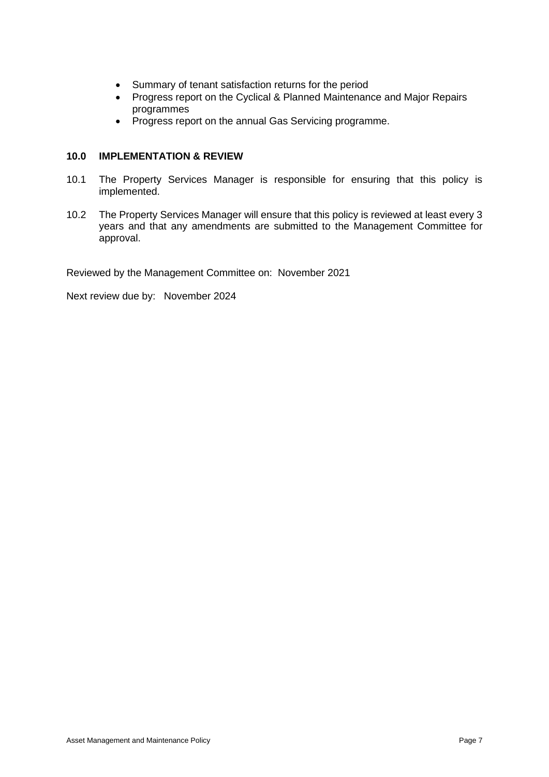- Summary of tenant satisfaction returns for the period
- Progress report on the Cyclical & Planned Maintenance and Major Repairs programmes
- Progress report on the annual Gas Servicing programme.

## **10.0 IMPLEMENTATION & REVIEW**

- 10.1 The Property Services Manager is responsible for ensuring that this policy is implemented.
- 10.2 The Property Services Manager will ensure that this policy is reviewed at least every 3 years and that any amendments are submitted to the Management Committee for approval.

Reviewed by the Management Committee on: November 2021

Next review due by: November 2024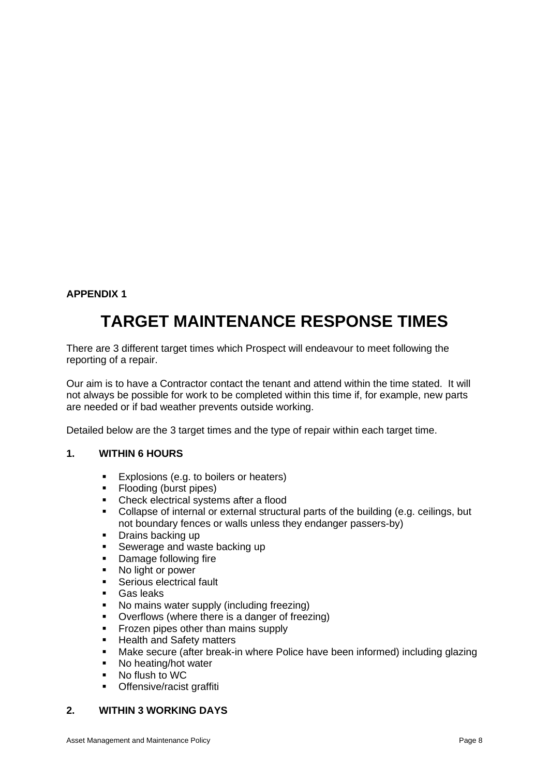# **APPENDIX 1**

# **TARGET MAINTENANCE RESPONSE TIMES**

There are 3 different target times which Prospect will endeavour to meet following the reporting of a repair.

Our aim is to have a Contractor contact the tenant and attend within the time stated. It will not always be possible for work to be completed within this time if, for example, new parts are needed or if bad weather prevents outside working.

Detailed below are the 3 target times and the type of repair within each target time.

## **1. WITHIN 6 HOURS**

- Explosions (e.g. to boilers or heaters)
- Flooding (burst pipes)
- Check electrical systems after a flood
- Collapse of internal or external structural parts of the building (e.g. ceilings, but not boundary fences or walls unless they endanger passers-by)
- Drains backing up
- **EXEC** Sewerage and waste backing up
- Damage following fire
- No light or power
- Serious electrical fault
- Gas leaks
- No mains water supply (including freezing)
- Overflows (where there is a danger of freezing)
- Frozen pipes other than mains supply
- Health and Safety matters
- Make secure (after break-in where Police have been informed) including glazing
- No heating/hot water
- No flush to WC
- **•** Offensive/racist graffiti

## **2. WITHIN 3 WORKING DAYS**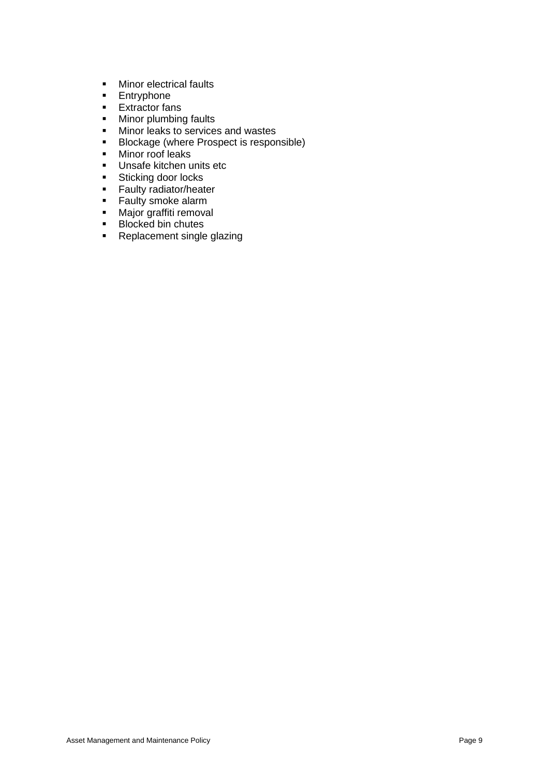- **■** Minor electrical faults
- **■** Entryphone
- Extractor fans<br>■ Minor plumbine
- Minor plumbing faults<br>■ Minor leaks to service
- Minor leaks to services and wastes
- Blockage (where Prospect is responsible)
- Minor roof leaks
- Unsafe kitchen units etc
- Sticking door locks
- **Exally radiator/heater**<br>**Exally smoke alarm**
- **E** Faulty smoke alarm<br>**E** Maior graffiti remova
- Major graffiti removal
- Blocked bin chutes
- Replacement single glazing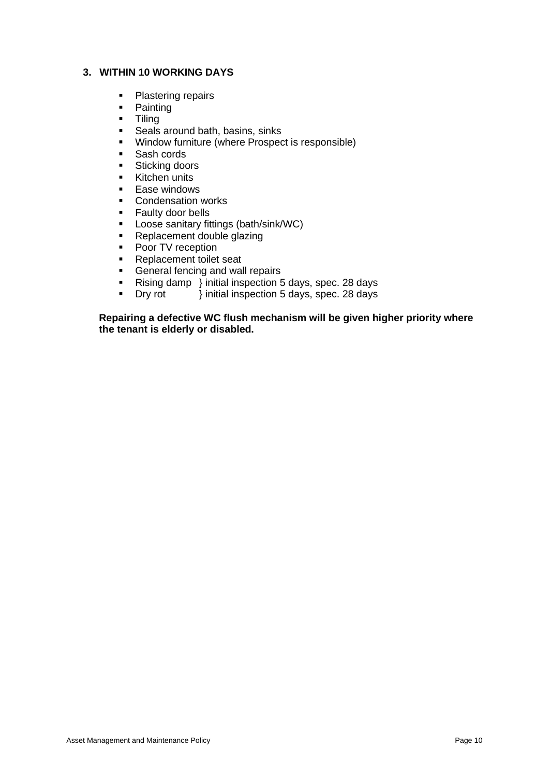## **3. WITHIN 10 WORKING DAYS**

- Plastering repairs
- Painting
- Tiling
- Seals around bath, basins, sinks
- Window furniture (where Prospect is responsible)
- Sash cords
- Sticking doors
- **E** Kitchen units
- Ease windows
- Condensation works
- Faulty door bells
- Loose sanitary fittings (bath/sink/WC)
- Replacement double glazing
- Poor TV reception
- Replacement toilet seat
- General fencing and wall repairs
- Rising damp } initial inspection 5 days, spec. 28 days
- Dry rot } initial inspection 5 days, spec. 28 days

**Repairing a defective WC flush mechanism will be given higher priority where the tenant is elderly or disabled.**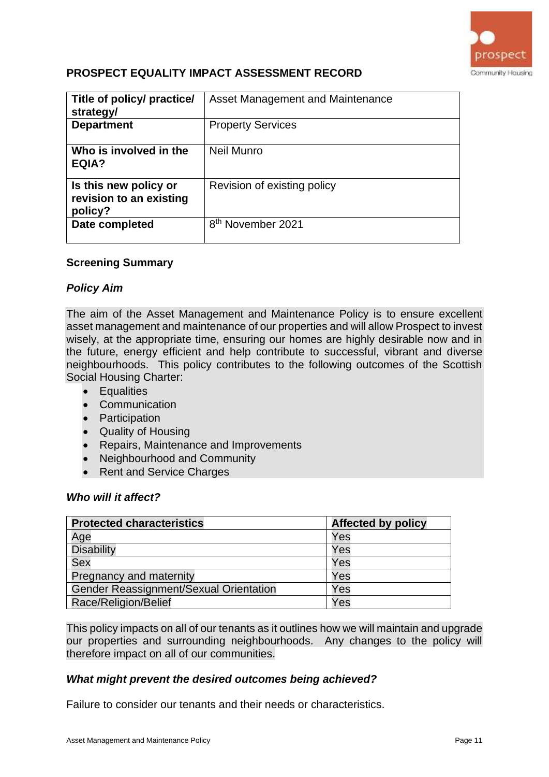

# **PROSPECT EQUALITY IMPACT ASSESSMENT RECORD**

| Title of policy/ practice/<br>strategy/                     | Asset Management and Maintenance |
|-------------------------------------------------------------|----------------------------------|
| <b>Department</b>                                           | <b>Property Services</b>         |
| Who is involved in the<br>EQIA?                             | Neil Munro                       |
| Is this new policy or<br>revision to an existing<br>policy? | Revision of existing policy      |
| Date completed                                              | 8 <sup>th</sup> November 2021    |

## **Screening Summary**

## *Policy Aim*

The aim of the Asset Management and Maintenance Policy is to ensure excellent asset management and maintenance of our properties and will allow Prospect to invest wisely, at the appropriate time, ensuring our homes are highly desirable now and in the future, energy efficient and help contribute to successful, vibrant and diverse neighbourhoods. This policy contributes to the following outcomes of the Scottish Social Housing Charter:

- Equalities
- Communication
- Participation
- Quality of Housing
- Repairs, Maintenance and Improvements
- Neighbourhood and Community
- Rent and Service Charges

## *Who will it affect?*

| <b>Protected characteristics</b>       | <b>Affected by policy</b> |
|----------------------------------------|---------------------------|
| Age                                    | Yes                       |
| <b>Disability</b>                      | Yes                       |
| <b>Sex</b>                             | Yes                       |
| Pregnancy and maternity                | Yes                       |
| Gender Reassignment/Sexual Orientation | Yes                       |
| Race/Religion/Belief                   | Yes                       |

This policy impacts on all of our tenants as it outlines how we will maintain and upgrade our properties and surrounding neighbourhoods. Any changes to the policy will therefore impact on all of our communities.

## *What might prevent the desired outcomes being achieved?*

Failure to consider our tenants and their needs or characteristics.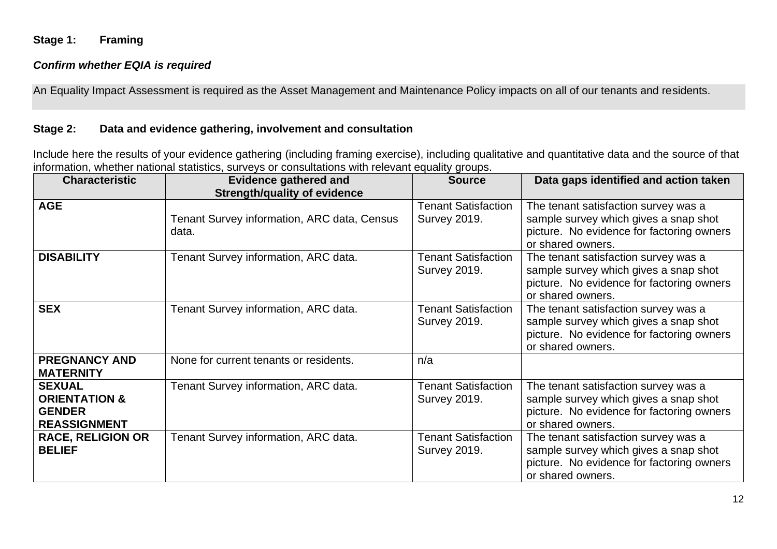## **Stage 1: Framing**

## *Confirm whether EQIA is required*

An Equality Impact Assessment is required as the Asset Management and Maintenance Policy impacts on all of our tenants and residents.

# **Stage 2: Data and evidence gathering, involvement and consultation**

Include here the results of your evidence gathering (including framing exercise), including qualitative and quantitative data and the source of that information, whether national statistics, surveys or consultations with relevant equality groups.

| <b>Characteristic</b>                                                             | <b>Evidence gathered and</b><br><b>Strength/quality of evidence</b> | <b>Source</b>                                     | Data gaps identified and action taken                                                                                                           |
|-----------------------------------------------------------------------------------|---------------------------------------------------------------------|---------------------------------------------------|-------------------------------------------------------------------------------------------------------------------------------------------------|
| <b>AGE</b>                                                                        | Tenant Survey information, ARC data, Census<br>data.                | <b>Tenant Satisfaction</b><br><b>Survey 2019.</b> | The tenant satisfaction survey was a<br>sample survey which gives a snap shot<br>picture. No evidence for factoring owners<br>or shared owners. |
| <b>DISABILITY</b>                                                                 | Tenant Survey information, ARC data.                                | <b>Tenant Satisfaction</b><br><b>Survey 2019.</b> | The tenant satisfaction survey was a<br>sample survey which gives a snap shot<br>picture. No evidence for factoring owners<br>or shared owners. |
| <b>SEX</b>                                                                        | Tenant Survey information, ARC data.                                | <b>Tenant Satisfaction</b><br><b>Survey 2019.</b> | The tenant satisfaction survey was a<br>sample survey which gives a snap shot<br>picture. No evidence for factoring owners<br>or shared owners. |
| <b>PREGNANCY AND</b><br><b>MATERNITY</b>                                          | None for current tenants or residents.                              | n/a                                               |                                                                                                                                                 |
| <b>SEXUAL</b><br><b>ORIENTATION &amp;</b><br><b>GENDER</b><br><b>REASSIGNMENT</b> | Tenant Survey information, ARC data.                                | <b>Tenant Satisfaction</b><br><b>Survey 2019.</b> | The tenant satisfaction survey was a<br>sample survey which gives a snap shot<br>picture. No evidence for factoring owners<br>or shared owners. |
| <b>RACE, RELIGION OR</b><br><b>BELIEF</b>                                         | Tenant Survey information, ARC data.                                | <b>Tenant Satisfaction</b><br><b>Survey 2019.</b> | The tenant satisfaction survey was a<br>sample survey which gives a snap shot<br>picture. No evidence for factoring owners<br>or shared owners. |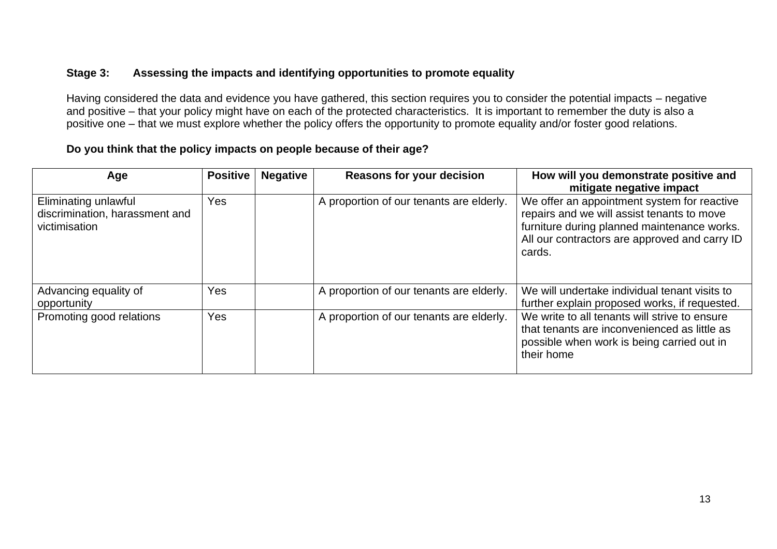# **Stage 3: Assessing the impacts and identifying opportunities to promote equality**

Having considered the data and evidence you have gathered, this section requires you to consider the potential impacts – negative and positive – that your policy might have on each of the protected characteristics. It is important to remember the duty is also a positive one – that we must explore whether the policy offers the opportunity to promote equality and/or foster good relations.

# **Do you think that the policy impacts on people because of their age?**

| Age                                                                     | <b>Positive</b> | <b>Negative</b> | <b>Reasons for your decision</b>         | How will you demonstrate positive and<br>mitigate negative impact                                                                                                                                   |
|-------------------------------------------------------------------------|-----------------|-----------------|------------------------------------------|-----------------------------------------------------------------------------------------------------------------------------------------------------------------------------------------------------|
| Eliminating unlawful<br>discrimination, harassment and<br>victimisation | Yes             |                 | A proportion of our tenants are elderly. | We offer an appointment system for reactive<br>repairs and we will assist tenants to move<br>furniture during planned maintenance works.<br>All our contractors are approved and carry ID<br>cards. |
| Advancing equality of<br>opportunity                                    | Yes             |                 | A proportion of our tenants are elderly. | We will undertake individual tenant visits to<br>further explain proposed works, if requested.                                                                                                      |
| Promoting good relations                                                | Yes             |                 | A proportion of our tenants are elderly. | We write to all tenants will strive to ensure<br>that tenants are inconvenienced as little as<br>possible when work is being carried out in<br>their home                                           |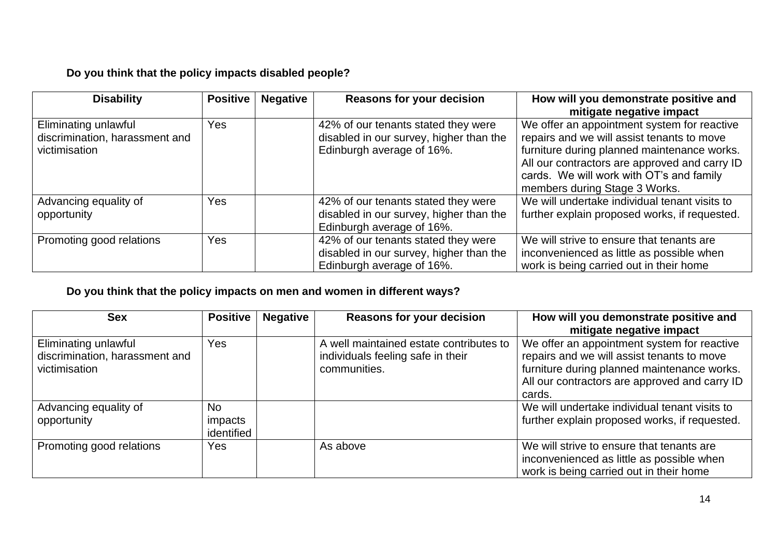# **Do you think that the policy impacts disabled people?**

| <b>Disability</b>                                                       | <b>Positive</b> | <b>Negative</b> | <b>Reasons for your decision</b>                                                                            | How will you demonstrate positive and<br>mitigate negative impact                                                                                                                                                                                                      |
|-------------------------------------------------------------------------|-----------------|-----------------|-------------------------------------------------------------------------------------------------------------|------------------------------------------------------------------------------------------------------------------------------------------------------------------------------------------------------------------------------------------------------------------------|
| Eliminating unlawful<br>discrimination, harassment and<br>victimisation | Yes             |                 | 42% of our tenants stated they were<br>disabled in our survey, higher than the<br>Edinburgh average of 16%. | We offer an appointment system for reactive<br>repairs and we will assist tenants to move<br>furniture during planned maintenance works.<br>All our contractors are approved and carry ID<br>cards. We will work with OT's and family<br>members during Stage 3 Works. |
| Advancing equality of<br>opportunity                                    | Yes             |                 | 42% of our tenants stated they were<br>disabled in our survey, higher than the<br>Edinburgh average of 16%. | We will undertake individual tenant visits to<br>further explain proposed works, if requested.                                                                                                                                                                         |
| Promoting good relations                                                | Yes             |                 | 42% of our tenants stated they were<br>disabled in our survey, higher than the<br>Edinburgh average of 16%. | We will strive to ensure that tenants are<br>inconvenienced as little as possible when<br>work is being carried out in their home                                                                                                                                      |

# **Do you think that the policy impacts on men and women in different ways?**

| <b>Sex</b>                                                              | <b>Positive</b>                    | <b>Negative</b> | <b>Reasons for your decision</b>                                                             | How will you demonstrate positive and<br>mitigate negative impact                                                                                                                                   |
|-------------------------------------------------------------------------|------------------------------------|-----------------|----------------------------------------------------------------------------------------------|-----------------------------------------------------------------------------------------------------------------------------------------------------------------------------------------------------|
| Eliminating unlawful<br>discrimination, harassment and<br>victimisation | Yes                                |                 | A well maintained estate contributes to<br>individuals feeling safe in their<br>communities. | We offer an appointment system for reactive<br>repairs and we will assist tenants to move<br>furniture during planned maintenance works.<br>All our contractors are approved and carry ID<br>cards. |
| Advancing equality of<br>opportunity                                    | <b>No</b><br>impacts<br>identified |                 |                                                                                              | We will undertake individual tenant visits to<br>further explain proposed works, if requested.                                                                                                      |
| Promoting good relations                                                | Yes                                |                 | As above                                                                                     | We will strive to ensure that tenants are<br>inconvenienced as little as possible when<br>work is being carried out in their home                                                                   |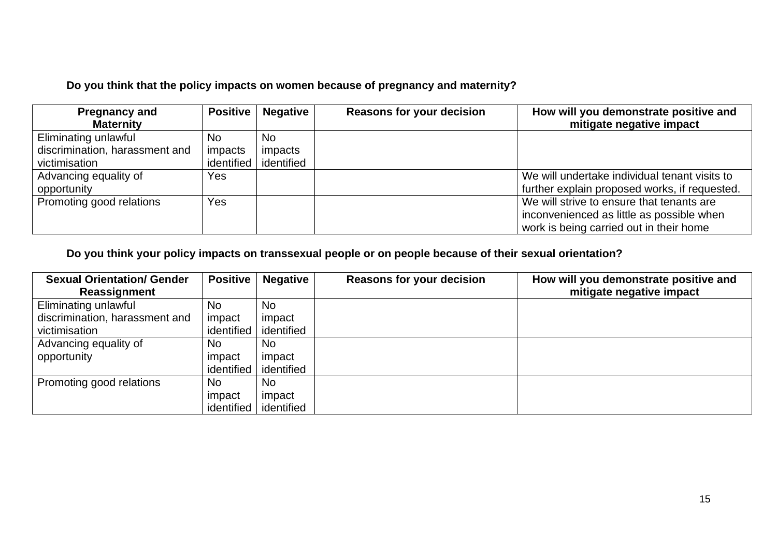# **Do you think that the policy impacts on women because of pregnancy and maternity?**

| <b>Pregnancy and</b>           | <b>Positive</b> | <b>Negative</b>         | <b>Reasons for your decision</b> | How will you demonstrate positive and         |
|--------------------------------|-----------------|-------------------------|----------------------------------|-----------------------------------------------|
| <b>Maternity</b>               |                 |                         |                                  | mitigate negative impact                      |
| Eliminating unlawful           | <b>No</b>       | No.                     |                                  |                                               |
| discrimination, harassment and | <i>impacts</i>  | impacts                 |                                  |                                               |
| victimisation                  |                 | identified   identified |                                  |                                               |
| Advancing equality of          | Yes             |                         |                                  | We will undertake individual tenant visits to |
| opportunity                    |                 |                         |                                  | further explain proposed works, if requested. |
| Promoting good relations       | Yes             |                         |                                  | We will strive to ensure that tenants are     |
|                                |                 |                         |                                  | inconvenienced as little as possible when     |
|                                |                 |                         |                                  | work is being carried out in their home       |

# **Do you think your policy impacts on transsexual people or on people because of their sexual orientation?**

| <b>Sexual Orientation/ Gender</b> | Positive   | <b>Negative</b>         | <b>Reasons for your decision</b> | How will you demonstrate positive and |
|-----------------------------------|------------|-------------------------|----------------------------------|---------------------------------------|
| Reassignment                      |            |                         |                                  | mitigate negative impact              |
| Eliminating unlawful              | <b>No</b>  | <b>No</b>               |                                  |                                       |
| discrimination, harassment and    | impact     | impact                  |                                  |                                       |
| victimisation                     |            | identified   identified |                                  |                                       |
| Advancing equality of             | No         | No                      |                                  |                                       |
| opportunity                       | impact     | impact                  |                                  |                                       |
|                                   | identified | identified              |                                  |                                       |
| Promoting good relations          | <b>No</b>  | <b>No</b>               |                                  |                                       |
|                                   | impact     | impact                  |                                  |                                       |
|                                   | identified | identified              |                                  |                                       |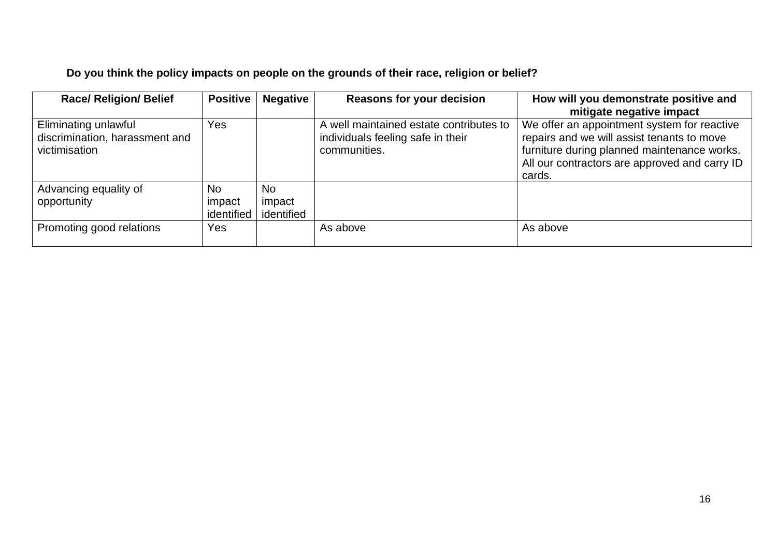# **Do you think the policy impacts on people on the grounds of their race, religion or belief?**

| <b>Race/ Religion/ Belief</b>                                           | <b>Positive</b>      | <b>Negative</b>      | <b>Reasons for your decision</b>                                                             | How will you demonstrate positive and<br>mitigate negative impact                                                                                                                                   |
|-------------------------------------------------------------------------|----------------------|----------------------|----------------------------------------------------------------------------------------------|-----------------------------------------------------------------------------------------------------------------------------------------------------------------------------------------------------|
| Eliminating unlawful<br>discrimination, harassment and<br>victimisation | Yes                  |                      | A well maintained estate contributes to<br>individuals feeling safe in their<br>communities. | We offer an appointment system for reactive<br>repairs and we will assist tenants to move<br>furniture during planned maintenance works.<br>All our contractors are approved and carry ID<br>cards. |
| Advancing equality of                                                   | <b>No</b>            | <b>No</b>            |                                                                                              |                                                                                                                                                                                                     |
| opportunity                                                             | impact<br>identified | impact<br>identified |                                                                                              |                                                                                                                                                                                                     |
| Promoting good relations                                                | Yes                  |                      | As above                                                                                     | As above                                                                                                                                                                                            |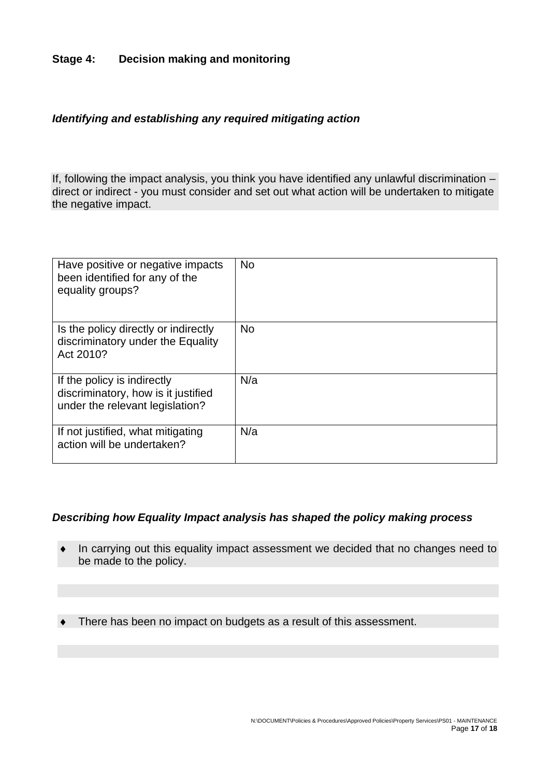## **Stage 4: Decision making and monitoring**

## *Identifying and establishing any required mitigating action*

If, following the impact analysis, you think you have identified any unlawful discrimination – direct or indirect - you must consider and set out what action will be undertaken to mitigate the negative impact.

| Have positive or negative impacts<br>been identified for any of the<br>equality groups?               | <b>No</b> |
|-------------------------------------------------------------------------------------------------------|-----------|
| Is the policy directly or indirectly<br>discriminatory under the Equality<br>Act 2010?                | <b>No</b> |
| If the policy is indirectly<br>discriminatory, how is it justified<br>under the relevant legislation? | N/a       |
| If not justified, what mitigating<br>action will be undertaken?                                       | N/a       |

## *Describing how Equality Impact analysis has shaped the policy making process*

- In carrying out this equality impact assessment we decided that no changes need to be made to the policy.
- There has been no impact on budgets as a result of this assessment.